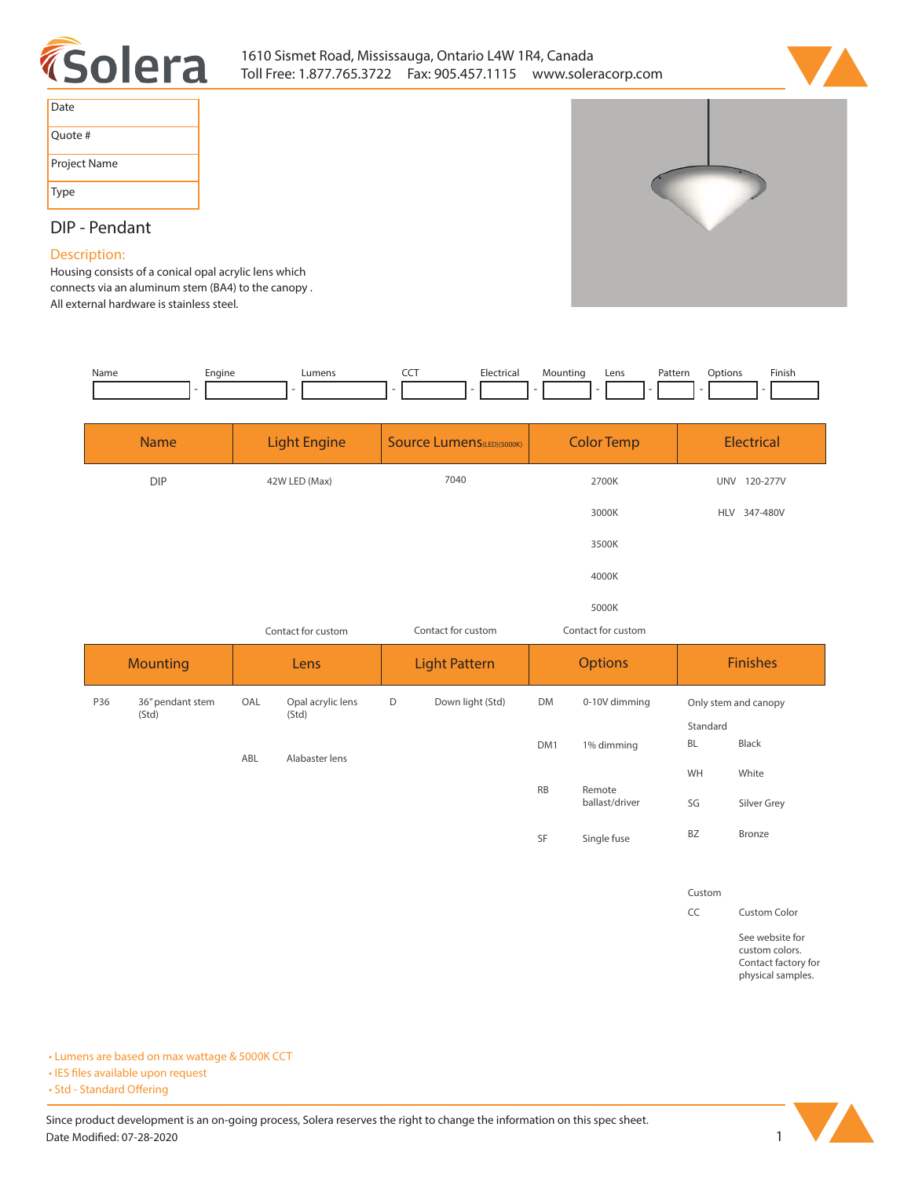



| Date         |
|--------------|
| Ouote #      |
| Project Name |
| <b>Type</b>  |

**DIP - Pendant**

**Description: Housing consists of a conical opal acrylic lens which connects via an aluminum stem (BA4) to the canopy .** 

**All external hardware is stainless steel.** 

| Name | Engine | Lumens | --- | Electrical | Mounting | Lens | Pattern | )ptions | Finish |
|------|--------|--------|-----|------------|----------|------|---------|---------|--------|
|      |        |        |     |            | . .      |      |         |         |        |

| <b>Name</b>                      |                    | <b>Light Engine</b>        |       | <b>Source Lumens(LED)(5000K)</b>         |                 | <b>Color Temp</b>        |          | <b>Electrical</b>    |  |
|----------------------------------|--------------------|----------------------------|-------|------------------------------------------|-----------------|--------------------------|----------|----------------------|--|
| <b>DIP</b>                       |                    | 42W LED (Max)              |       | 7040                                     |                 | 2700K                    |          | UNV 120-277V         |  |
|                                  |                    |                            |       |                                          |                 | 3000K                    |          | HLV 347-480V         |  |
|                                  |                    |                            | 3500K |                                          |                 |                          |          |                      |  |
|                                  |                    |                            |       |                                          | 4000K           |                          |          |                      |  |
|                                  | 5000K              |                            |       |                                          |                 |                          |          |                      |  |
|                                  | Contact for custom |                            |       | Contact for custom<br>Contact for custom |                 |                          |          |                      |  |
| <b>Mounting</b>                  |                    | Lens                       |       | <b>Light Pattern</b>                     |                 | <b>Options</b>           |          | <b>Finishes</b>      |  |
| 36" pendant stem<br>P36<br>(Std) | OAL                | Opal acrylic lens<br>(Std) | D     | Down light (Std)                         | <b>DM</b>       | 0-10V dimming            |          | Only stem and canopy |  |
|                                  |                    |                            |       |                                          |                 |                          | Standard |                      |  |
|                                  | ABL                | Alabaster lens             |       |                                          | DM <sub>1</sub> | 1% dimming               | BL       | Black                |  |
|                                  |                    |                            |       |                                          |                 |                          | WH       | White                |  |
|                                  |                    |                            |       |                                          | <b>RB</b>       | Remote<br>ballast/driver |          | Silver Grey          |  |
|                                  |                    |                            |       |                                          | SF              | Single fuse              | BZ       | Bronze               |  |

**Custom**

**CC Custom Color**

**See website for custom colors. Contact factory for physical samples.** 

**• Lumens are based on max wattage & 5000K CCT**

**• IES files available upon request** 

• Std - Standard Offering